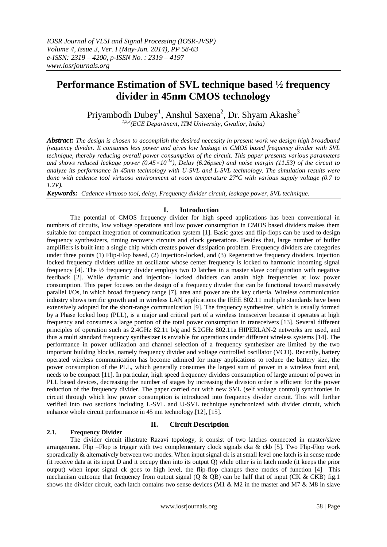# **Performance Estimation of SVL technique based ½ frequency divider in 45nm CMOS technology**

Priyambodh Dubey $^1$ , Anshul Saxena $^2$ , Dr. Shyam Akashe $^3$ 

*1,2,3 (ECE Department, ITM University, Gwalior, India)*

*Abstract: The design is chosen to accomplish the desired necessity in present work we design high broadband frequency divider. It consumes less power and gives low leakage in CMOS based frequency divider with SVL technique, thereby reducing overall power consumption of the circuit. This paper presents various parameters and shows reduced leakage power (0.45×10-12), Delay (6.26psec) and noise margin (11.53) of the circuit to analyze its performance in 45nm technology with U-SVL and L-SVL technology. The simulation results were done with cadence tool virtuoso environment at room temperature 27ºC with various supply voltage (0.7 to 1.2V).*

*Keywords: Cadence virtuoso tool, delay, Frequency divider circuit, leakage power, SVL technique.*

# **I. Introduction**

The potential of CMOS frequency divider for high speed applications has been conventional in numbers of circuits, low voltage operations and low power consumption in CMOS based dividers makes them suitable for compact integration of communication system [1]. Basic gates and flip-flops can be used to design frequency synthesizers, timing recovery circuits and clock generations. Besides that, large number of buffer amplifiers is built into a single chip which creates power dissipation problem. Frequency dividers are categories under three points (1) Flip-Flop based, (2) Injection-locked, and (3) Regenerative frequency dividers. Injection locked frequency dividers utilize an oscillator whose center frequency is locked to harmonic incoming signal frequency [4]. The ½ frequency divider employs two D latches in a master slave configuration with negative feedback [2]. While dynamic and injection- locked dividers can attain high frequencies at low power consumption. This paper focuses on the design of a frequency divider that can be functional toward massively parallel I/Os, in which broad frequency range [7], area and power are the key criteria. Wireless communication industry shows terrific growth and in wireless LAN applications the IEEE 802.11 multiple standards have been extensively adopted for the short-range communication [9]. The frequency synthesizer, which is usually formed by a Phase locked loop (PLL), is a major and critical part of a wireless transceiver because it operates at high frequency and consumes a large portion of the total power consumption in transceivers [13]. Several different principles of operation such as 2.4GHz 82.11 b/g and 5.2GHz 802.11a HIPERLAN-2 networks are used, and thus a multi standard frequency synthesizer is enviable for operations under different wireless systems [14]. The performance in power utilization and channel selection of a frequency synthesizer are limited by the two important building blocks, namely frequency divider and voltage controlled oscillator (VCO). Recently, battery operated wireless communication has become admired for many applications to reduce the battery size, the power consumption of the PLL, which generally consumes the largest sum of power in a wireless front end, needs to be compact [11]. In particular, high speed frequency dividers consumption of large amount of power in PLL based devices, decreasing the number of stages by increasing the division order is efficient for the power reduction of the frequency divider. The paper carried out with new SVL (self voltage control) synchronies in circuit through which low power consumption is introduced into frequency divider circuit. This will further verified into two sections including L-SVL and U-SVL technique synchronized with divider circuit, which enhance whole circuit performance in 45 nm technology.[12], [15].

# **2.1. Frequency Divider**

# **II. Circuit Description**

The divider circuit illustrate Razavi topology, it consist of two latches connected in master/slave arrangement. Flip –Flop is trigger with two complementary clock signals cka & ckb [5]. Two Flip-Flop work sporadically  $\&$  alternatively between two modes. When input signal ck is at small level one latch is in sense mode (it receive data at its input D and it occupy then into its output Q) while other is in latch mode (it keeps the prior output) when input signal ck goes to high level, the flip-flop changes there modes of function [4] This mechanism outcome that frequency from output signal  $(Q & QB)$  can be half that of input (CK & CKB) fig.1 shows the divider circuit, each latch contains two sense devices (M1 & M2 in the master and M7 & M8 in slave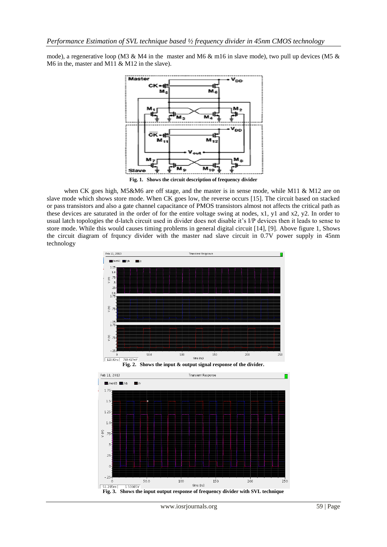mode), a regenerative loop (M3 & M4 in the master and M6 & m16 in slave mode), two pull up devices (M5 & M6 in the, master and M11 & M12 in the slave).



**Fig. 1. Shows the circuit description of frequency divider**

when CK goes high, M5&M6 are off stage, and the master is in sense mode, while M11 & M12 are on slave mode which shows store mode. When CK goes low, the reverse occurs [15]. The circuit based on stacked or pass transistors and also a gate channel capacitance of PMOS transistors almost not affects the critical path as these devices are saturated in the order of for the entire voltage swing at nodes, x1, y1 and x2, y2. In order to usual latch topologies the d-latch circuit used in divider does not disable it's I/P devices then it leads to sense to store mode. While this would causes timing problems in general digital circuit [14], [9]. Above figure 1, Shows the circuit diagram of frquncy divider with the master nad slave circuit in 0.7V power supply in 45nm technology



www.iosrjournals.org 59 | Page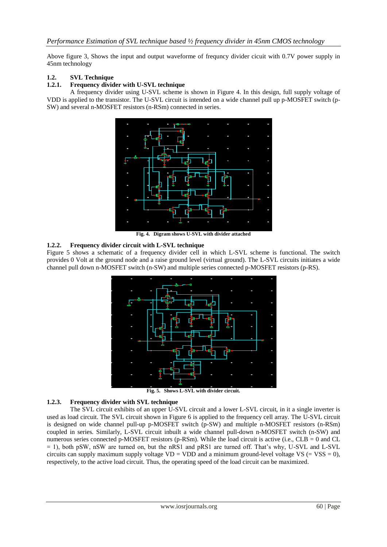Above figure 3, Shows the input and output waveforme of frequncy divider cicuit with 0.7V power supply in 45nm technology

# **1.2. SVL Technique**

#### **1.2.1. Frequency divider with U-SVL technique**

A frequency divider using U-SVL scheme is shown in Figure 4. In this design, full supply voltage of VDD is applied to the transistor. The U-SVL circuit is intended on a wide channel pull up p-MOSFET switch (p-SW) and several n-MOSFET resistors (n-RSm) connected in series.



**Fig. 4. Digram shows U-SVL with divider attached**

#### **1.2.2. Frequency divider circuit with L-SVL technique**

Figure 5 shows a schematic of a frequency divider cell in which L-SVL scheme is functional. The switch provides 0 Volt at the ground node and a raise ground level (virtual ground). The L-SVL circuits initiates a wide channel pull down n-MOSFET switch (n-SW) and multiple series connected p-MOSFET resistors (p-RS).



**Fig. 5. Shows L-SVL with divider circuit.**

## **1.2.3. Frequency divider with SVL technique**

The SVL circuit exhibits of an upper U-SVL circuit and a lower L-SVL circuit, in it a single inverter is used as load circuit. The SVL circuit shown in Figure 6 is applied to the frequency cell array. The U-SVL circuit is designed on wide channel pull-up p-MOSFET switch (p-SW) and multiple n-MOSFET resistors (n-RSm) coupled in series. Similarly, L-SVL circuit inbuilt a wide channel pull-down n-MOSFET switch (n-SW) and numerous series connected p-MOSFET resistors (p-RSm). While the load circuit is active (i.e.,  $CLB = 0$  and  $CL$ = 1), both pSW, nSW are turned on, but the nRS1 and pRS1 are turned off. That"s why, U-SVL and L-SVL circuits can supply maximum supply voltage  $VD = VDD$  and a minimum ground-level voltage  $VS = VSS = 0$ ), respectively, to the active load circuit. Thus, the operating speed of the load circuit can be maximized.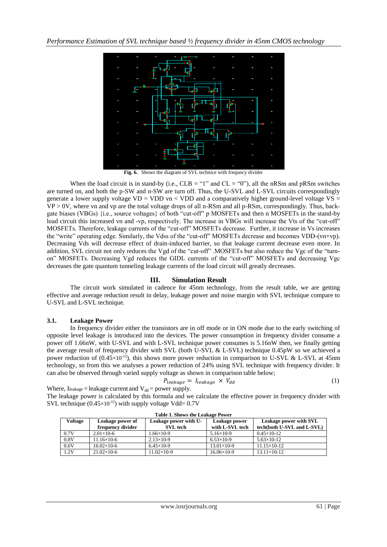

**Fig. 6.** Shows the diagram of SVL technice with frequncy divider

When the load circuit is in stand-by (i.e.,  $CLB = "1"$  and  $CL = "0"$ ), all the nRSm and pRSm switches are turned on, and both the p-SW and n-SW are turn off. Thus, the U-SVL and L-SVL circuits correspondingly generate a lower supply voltage VD = VDD vn < VDD and a comparatively higher ground-level voltage VS =  $VP > 0V$ , where vn and vp are the total voltage drops of all n-RSm and all p-RSm, correspondingly. Thus, backgate biases (VBGs) {i.e., source voltages} of both "cut-off" p MOSFETs and then n MOSFETs in the stand-by load circuit this increased vn and -vp, respectively. The increase in VBGs will increase the Vts of the "cut-off" MOSFETs. Therefore, leakage currents of the "cut-off" MOSFETs decrease. Further, it increase in Vs increases the "write" operating edge. Similarly, the Vdss of the "cut-off" MOSFETs decrease and becomes VDD-(vn+vp). Decreasing Vds will decrease effect of drain-induced barrier, so that leakage current decrease even more. In addition, SVL circuit not only reduces the Vgd of the "cut-off" .MOSFETs but also reduce the Vgc of the "turnon" MOSFETs. Decreasing Vgd reduces the GIDL currents of the "cut-off" MOSFETs and decreasing Vgc decreases the gate quantum tunneling leakage currents of the load circuit will greatly decreases.

## **III. Simulation Result**

The circuit work simulated in cadence for 45nm technology, from the result table, we are getting effective and average reduction result in delay, leakage power and noise margin with SVL technique compare to U-SVL and L-SVL technique.

## **3.1. Leakage Power**

In frequency divider either the transistors are in off mode or in ON mode due to the early switching of opposite level leakage is introduced into the devices. The power consumption in frequency divider consume a power off 1.66nW, with U-SVL and with L-SVL technique power consumes is 5.16nW then, we finally getting the average result of frequency divider with SVL (both U-SVL & L-SVL) technique 0.45pW so we achieved a power reduction of  $(0.45\times10^{-12})$ , this shows more power reduction in comparison to U-SVL & L-SVL at 45nm technology, so from this we analyses a power reduction of 24% using SVL technique with frequency divider. It can also be observed through varied supply voltage as shown in comparison table below;

$$
P_{leakage} = I_{leakage} \times V_{dd} \tag{1}
$$

Where, Ileakage = leakage current and  $V_{dd}$  = power supply.

The leakage power is calculated by this formula and we calculate the effective power in frequency divider with SVL technique  $(0.45\times10^{-12})$  with supply voltage Vdd= 0.7V

| <b>Voltage</b> | Leakage power of<br>frequency divider | Leakage power with U-<br><b>SVL</b> tech | Leakage power<br>with L-SVL tech | Leakage power with SVL<br>tech(both U-SVL and L-SVL) |
|----------------|---------------------------------------|------------------------------------------|----------------------------------|------------------------------------------------------|
| 0.7V           | $2.01\times10-6$                      | $1.66 \times 10 - 9$                     | $5.16 \times 10 - 9$             | $0.45 \times 10 - 12$                                |
| 0.8V           | $11.16\times10-6$                     | $2.13\times10-9$                         | $6.53\times10-9$                 | $5.63 \times 10 - 12$                                |
| 0.6V           | $16.02\times10-6$                     | $6.45\times10-9$                         | $13.01\times10-9$                | $11.15\times10-12$                                   |
| 1.2V           | $21.02\times10-6$                     | $11.02\times10-9$                        | $16.06\times10-9$                | $13.11 \times 10 - 12$                               |

**Table 1. Shows the Leakage Power**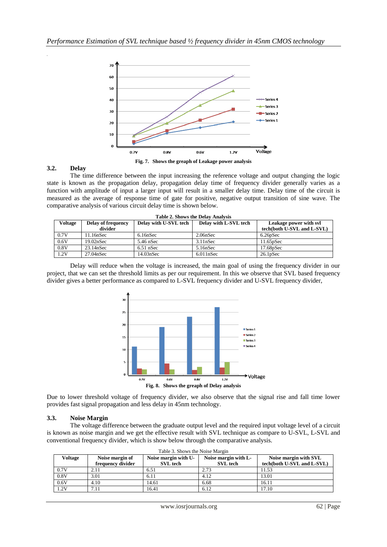

#### **3.2. Delay**

*.*

The time difference between the input increasing the reference voltage and output changing the logic state is known as the propagation delay, propagation delay time of frequency divider generally varies as a function with amplitude of input a larger input will result in a smaller delay time. Delay time of the circuit is measured as the average of response time of gate for positive, negative output transition of sine wave. The comparative analysis of various circuit delay time is shown below.

| Table 2. Shows the Delay Analysis |                           |                       |                       |                            |  |
|-----------------------------------|---------------------------|-----------------------|-----------------------|----------------------------|--|
| <b>Voltage</b>                    | <b>Delay of frequency</b> | Delay with U-SVL tech | Delay with L-SVL tech | Leakage power with svl     |  |
|                                   | divider                   |                       |                       | tech(both U-SVL and L-SVL) |  |
| 0.7V                              | 11.16nSec                 | 6.16nSec              | 2.06nSec              | $6.26$ pSec                |  |
| 0.6V                              | 19.02nSec                 | $5.46$ nSec           | 3.11nSec              | $11.65$ pSec               |  |
| 0.8V                              | 23.14nSec                 | $6.51$ nSec           | 5.16nSec              | $17.68$ p $Sec$            |  |
| 1.2V                              | 27.04nSec                 | 14.03nSec             | 6.011nSec             | $26.1$ pSec                |  |

| Table 2. Shows the Delay Analysis |  |  |  |  |  |  |
|-----------------------------------|--|--|--|--|--|--|
|-----------------------------------|--|--|--|--|--|--|

Delay will reduce when the voltage is increased, the main goal of using the frequency divider in our project, that we can set the threshold limits as per our requirement. In this we observe that SVL based frequency divider gives a better performance as compared to L-SVL frequency divider and U-SVL frequency divider,



Due to lower threshold voltage of frequency divider, we also observe that the signal rise and fall time lower provides fast signal propagation and less delay in 45nm technology.

#### **3.3. Noise Margin**

The voltage difference between the graduate output level and the required input voltage level of a circuit is known as noise margin and we get the effective result with SVL technique as compare to U-SVL, L-SVL and conventional frequency divider, which is show below through the comparative analysis.

| Table 3. Shows the Noise Margin |                   |                      |                      |                            |  |  |
|---------------------------------|-------------------|----------------------|----------------------|----------------------------|--|--|
| Voltage                         | Noise margin of   | Noise margin with U- | Noise margin with L- | Noise margin with SVL      |  |  |
|                                 | frequency divider | <b>SVL</b> tech      | <b>SVL</b> tech      | tech(both U-SVL and L-SVL) |  |  |
| 0.7V                            | 2.11              | 6.51                 | 2.73                 | 11.53                      |  |  |
| 0.8V                            | 3.01              | 6.11                 | 4.12                 | 13.01                      |  |  |
| 0.6V                            | 4.10              | 14.61                | 6.68                 | 16.11                      |  |  |
| 1.2V                            | 7.11              | 16.41                | 6.12                 | 17.10                      |  |  |